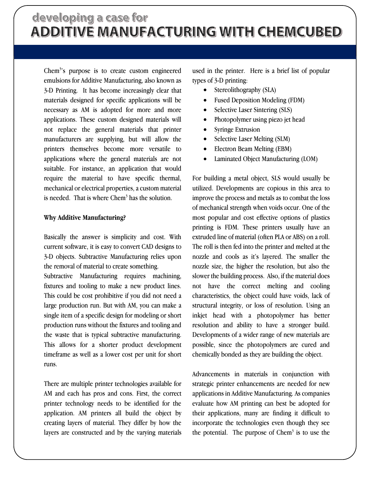Chem<sup>3</sup>'s purpose is to create custom engineered emulsions for Additive Manufacturing, also known as 3-D Printing. It has become increasingly clear that materials designed for specific applications will be necessary as AM is adopted for more and more applications. These custom designed materials will not replace the general materials that printer manufacturers are supplying, but will allow the printers themselves become more versatile to applications where the general materials are not suitable. For instance, an application that would require the material to have specific thermal, mechanical or electrical properties, a custom material is needed. That is where Chem<sup>3</sup> has the solution.

## **Why Additive Manufacturing?**

Basically the answer is simplicity and cost. With current software, it is easy to convert CAD designs to 3-D objects. Subtractive Manufacturing relies upon the removal of material to create something.

Subtractive Manufacturing requires machining, fixtures and tooling to make a new product lines. This could be cost prohibitive if you did not need a large production run. But with AM, you can make a single item of a specific design for modeling or short production runs without the fixtures and tooling and the waste that is typical subtractive manufacturing. This allows for a shorter product development timeframe as well as a lower cost per unit for short runs.

There are multiple printer technologies available for AM and each has pros and cons. First, the correct printer technology needs to be identified for the application. AM printers all build the object by creating layers of material. They differ by how the layers are constructed and by the varying materials used in the printer. Here is a brief list of popular types of 3-D printing:

- Stereolithography (SLA)
- Fused Deposition Modeling (FDM)
- Selective Laser Sintering (SLS)
- Photopolymer using piezo jet head
- Syringe Extrusion
- Selective Laser Melting (SLM)
- Electron Beam Melting (EBM)
- Laminated Object Manufacturing (LOM)

For building a metal object, SLS would usually be utilized. Developments are copious in this area to improve the process and metals as to combat the loss of mechanical strength when voids occur. One of the most popular and cost effective options of plastics printing is FDM. These printers usually have an extruded line of material (often PLA or ABS) on a roll. The roll is then fed into the printer and melted at the nozzle and cools as it's layered. The smaller the nozzle size, the higher the resolution, but also the slower the building process. Also, if the material does not have the correct melting and cooling characteristics, the object could have voids, lack of structural integrity, or loss of resolution. Using an inkjet head with a photopolymer has better resolution and ability to have a stronger build. Developments of a wider range of new materials are possible, since the photopolymers are cured and chemically bonded as they are building the object.

Advancements in materials in conjunction with strategic printer enhancements are needed for new applications in Additive Manufacturing. As companies evaluate how AM printing can best be adopted for their applications, many are finding it difficult to incorporate the technologies even though they see the potential. The purpose of  $Chem<sup>3</sup>$  is to use the